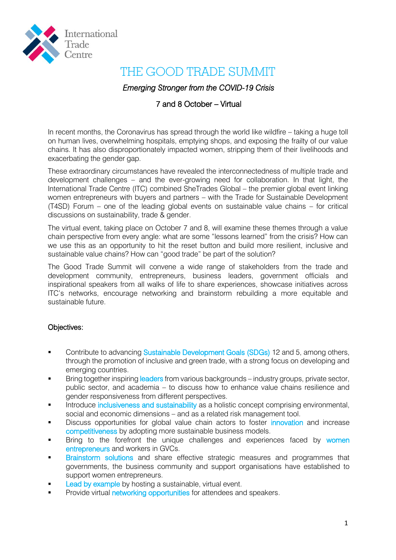

## THE GOOD TRADE SUMMIT

## *Emerging Stronger from the COVID-19 Crisis*

## 7 and 8 October – Virtual

In recent months, the Coronavirus has spread through the world like wildfire – taking a huge toll on human lives, overwhelming hospitals, emptying shops, and exposing the frailty of our value chains. It has also disproportionately impacted women, stripping them of their livelihoods and exacerbating the gender gap.

These extraordinary circumstances have revealed the interconnectedness of multiple trade and development challenges – and the ever-growing need for collaboration. In that light, the International Trade Centre (ITC) combined SheTrades Global – the premier global event linking women entrepreneurs with buyers and partners – with the Trade for Sustainable Development (T4SD) Forum – one of the leading global events on sustainable value chains – for critical discussions on sustainability, trade & gender.

The virtual event, taking place on October 7 and 8, will examine these themes through a value chain perspective from every angle: what are some "lessons learned" from the crisis? How can we use this as an opportunity to hit the reset button and build more resilient, inclusive and sustainable value chains? How can "good trade" be part of the solution?

The Good Trade Summit will convene a wide range of stakeholders from the trade and development community, entrepreneurs, business leaders, government officials and inspirational speakers from all walks of life to share experiences, showcase initiatives across ITC's networks, encourage networking and brainstorm rebuilding a more equitable and sustainable future.

### Objectives:

- Contribute to advancing Sustainable Development Goals (SDGs) 12 and 5, among others, through the promotion of inclusive and green trade, with a strong focus on developing and emerging countries.
- **Bring together inspiring leaders from various backgrounds industry groups, private sector, in the sector** public sector, and academia – to discuss how to enhance value chains resilience and gender responsiveness from different perspectives.
- Introduce inclusiveness and sustainability as a holistic concept comprising environmental, social and economic dimensions – and as a related risk management tool.
- Discuss opportunities for global value chain actors to foster *innovation* and increase competitiveness by adopting more sustainable business models.
- Bring to the forefront the unique challenges and experiences faced by women entrepreneurs and workers in GVCs.
- Brainstorm solutions and share effective strategic measures and programmes that governments, the business community and support organisations have established to support women entrepreneurs.
- Lead by example by hosting a sustainable, virtual event.
- Provide virtual networking opportunities for attendees and speakers.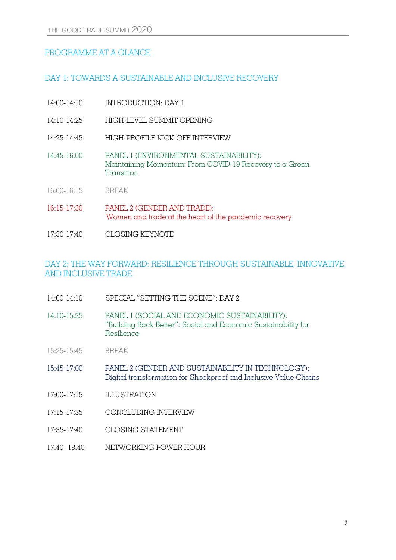## PROGRAMME AT A GLANCE

## DAY 1: TOWARDS A SUSTAINABLE AND INCLUSIVE RECOVERY

| 14:00-14:10     | INTRODUCTION: DAY 1                                                                                              |
|-----------------|------------------------------------------------------------------------------------------------------------------|
| $14:10-14:25$   | HIGH-LEVEL SUMMIT OPENING                                                                                        |
| 14:25-14:45     | HIGH-PROFILE KICK-OFF INTERVIEW                                                                                  |
| $14:45 - 16:00$ | PANEL 1 (ENVIRONMENTAL SUSTAINABILITY):<br>Maintaining Momentum: From COVID-19 Recovery to a Green<br>Transition |
| 16:00-16:15     | <b>BREAK</b>                                                                                                     |
| 16:15-17:30     | PANEL 2 (GENDER AND TRADE):<br>Women and trade at the heart of the pandemic recovery                             |

17:30-17:40 CLOSING KEYNOTE

## DAY 2: THE WAY FORWARD: RESILIENCE THROUGH SUSTAINABLE, INNOVATIVE AND INCLUSIVE TRADE

- 14:00-14:10 SPECIAL "SETTING THE SCENE": DAY 2
- 14:10-15:25 PANEL 1 (SOCIAL AND ECONOMIC SUSTAINABILITY): "Building Back Better": Social and Economic Sustainability for Resilience
- 15:25-15:45 BREAK
- 15:45-17:00 PANEL 2 (GENDER AND SUSTAINABILITY IN TECHNOLOGY): Digital transformation for Shockproof and Inclusive Value Chains
- 17:00-17:15 ILLUSTRATION
- 17:15-17:35 CONCLUDING INTERVIEW
- 17:35-17:40 CLOSING STATEMENT
- 17:40- 18:40 NETWORKING POWER HOUR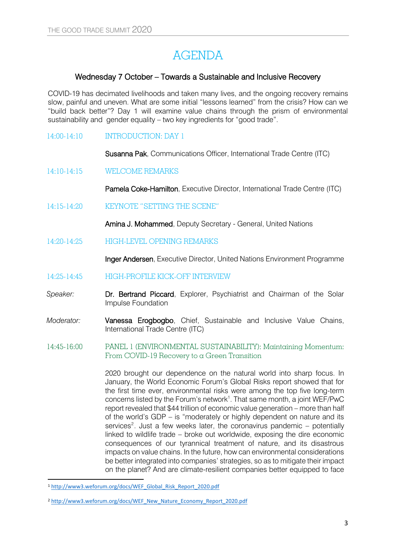# AGENDA

### Wednesday 7 October – Towards a Sustainable and Inclusive Recovery

COVID-19 has decimated livelihoods and taken many lives, and the ongoing recovery remains slow, painful and uneven. What are some initial "lessons learned" from the crisis? How can we "build back better"? Day 1 will examine value chains through the prism of environmental sustainability and gender equality – two key ingredients for "good trade".

### 14:00-14:10 INTRODUCTION: DAY 1

Susanna Pak, Communications Officer, International Trade Centre (ITC)

14:10-14:15 WELCOME REMARKS

Pamela Coke-Hamilton, Executive Director, International Trade Centre (ITC)

14:15-14:20 KEYNOTE "SETTING THE SCENE"

Amina J. Mohammed, Deputy Secretary - General, United Nations

14:20-14:25 HIGH-LEVEL OPENING REMARKS

Inger Andersen, Executive Director, United Nations Environment Programme

- 14:25-14:45 HIGH-PROFILE KICK-OFF INTERVIEW
- *Speaker:* Dr. Bertrand Piccard, Explorer, Psychiatrist and Chairman of the Solar Impulse Foundation
- *Moderator:* Vanessa Erogbogbo, Chief, Sustainable and Inclusive Value Chains, International Trade Centre (ITC)
- 14:45-16:00 PANEL 1 (ENVIRONMENTAL SUSTAINABILITY): Maintaining Momentum: From COVID-19 Recovery to a Green Transition

2020 brought our dependence on the natural world into sharp focus. In January, the World Economic Forum's Global Risks report showed that for the first time ever, environmental risks were among the top five long-term concerns listed by the Forum's network<sup>1</sup>. That same month, a joint WEF/PwC report revealed that \$44 trillion of economic value generation – more than half of the world's GDP – is "moderately or highly dependent on nature and its services<sup>2</sup>. Just a few weeks later, the coronavirus pandemic  $-$  potentially linked to wildlife trade – broke out worldwide, exposing the dire economic consequences of our tyrannical treatment of nature, and its disastrous impacts on value chains. In the future, how can environmental considerations be better integrated into companies' strategies, so as to mitigate their impact on the planet? And are climate-resilient companies better equipped to face

 $\overline{a}$ 

<sup>1</sup> [http://www3.weforum.org/docs/WEF\\_Global\\_Risk\\_Report\\_2020.pdf](http://www3.weforum.org/docs/WEF_Global_Risk_Report_2020.pdf)

<sup>2</sup> [http://www3.weforum.org/docs/WEF\\_New\\_Nature\\_Economy\\_Report\\_2020.pdf](http://www3.weforum.org/docs/WEF_New_Nature_Economy_Report_2020.pdf)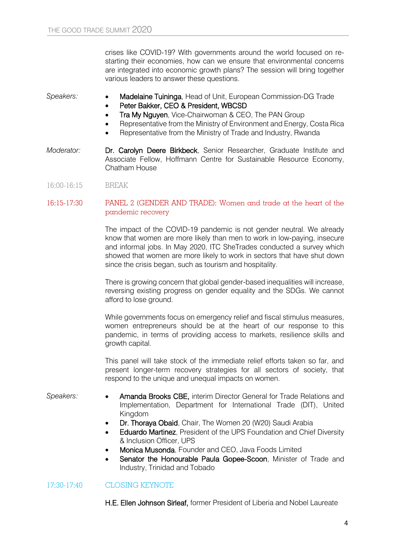crises like COVID-19? With governments around the world focused on restarting their economies, how can we ensure that environmental concerns are integrated into economic growth plans? The session will bring together various leaders to answer these questions.

Speakers: **•• Madelaine Tuininga**, Head of Unit, European Commission-DG Trade

- Peter Bakker, CEO & President, WBCSD
- Tra My Nguyen, Vice-Chairwoman & CEO, The PAN Group
- Representative from the Ministry of Environment and Energy, Costa Rica
- Representative from the Ministry of Trade and Industry, Rwanda
- *Moderator:* **Dr. Carolyn Deere Birkbeck**, Senior Researcher, Graduate Institute and Associate Fellow, Hoffmann Centre for Sustainable Resource Economy, Chatham House
- 16:00-16:15 BREAK

### 16:15-17:30 PANEL 2 (GENDER AND TRADE): Women and trade at the heart of the pandemic recovery

The impact of the COVID-19 pandemic is not gender neutral. We already know that women are more likely than men to work in low-paying, insecure and informal jobs. In May 2020, ITC SheTrades conducted a survey which showed that women are more likely to work in sectors that have shut down since the crisis began, such as tourism and hospitality.

There is growing concern that global gender-based inequalities will increase, reversing existing progress on gender equality and the SDGs. We cannot afford to lose ground.

While governments focus on emergency relief and fiscal stimulus measures, women entrepreneurs should be at the heart of our response to this pandemic, in terms of providing access to markets, resilience skills and growth capital.

This panel will take stock of the immediate relief efforts taken so far, and present longer-term recovery strategies for all sectors of society, that respond to the unique and unequal impacts on women.

- Speakers: **Amanda Brooks CBE**, interim Director General for Trade Relations and Implementation, Department for International Trade (DIT), United Kingdom
	- Dr. Thoraya Obaid, Chair, The Women 20 (W20) Saudi Arabia
	- Eduardo Martinez, President of the UPS Foundation and Chief Diversity & Inclusion Officer, UPS
	- Monica Musonda, Founder and CEO, Java Foods Limited
	- Senator the Honourable Paula Gopee-Scoon, Minister of Trade and Industry, Trinidad and Tobado

### 17:30-17:40 CLOSING KEYNOTE

H.E. Ellen Johnson Sirleaf, former President of Liberia and Nobel Laureate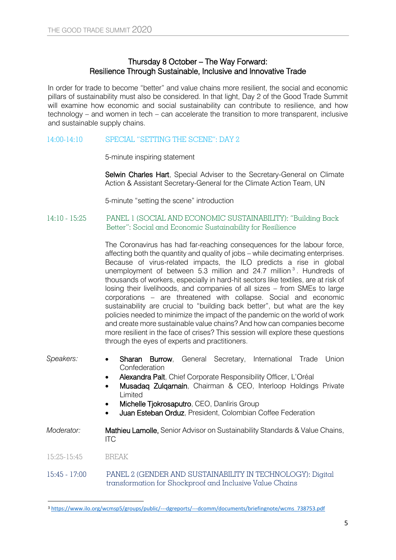### Thursday 8 October – The Way Forward: Resilience Through Sustainable, Inclusive and Innovative Trade

In order for trade to become "better" and value chains more resilient, the social and economic pillars of sustainability must also be considered. In that light, Day 2 of the Good Trade Summit will examine how economic and social sustainability can contribute to resilience, and how technology – and women in tech – can accelerate the transition to more transparent, inclusive and sustainable supply chains.

### 14:00-14:10 SPECIAL "SETTING THE SCENE": DAY 2

5-minute inspiring statement

Selwin Charles Hart, Special Adviser to the Secretary-General on Climate Action & Assistant Secretary-General for the Climate Action Team, UN

5-minute "setting the scene" introduction

14:10 - 15:25 PANEL 1 (SOCIAL AND ECONOMIC SUSTAINABILITY): "Building Back Better": Social and Economic Sustainability for Resilience

> The Coronavirus has had far-reaching consequences for the labour force, affecting both the quantity and quality of jobs – while decimating enterprises. Because of virus-related impacts, the ILO predicts a rise in global unemployment of between 5.3 million and 24.7 million<sup>3</sup>. Hundreds of thousands of workers, especially in hard-hit sectors like textiles, are at risk of losing their livelihoods, and companies of all sizes – from SMEs to large corporations – are threatened with collapse. Social and economic sustainability are crucial to "building back better", but what are the key policies needed to minimize the impact of the pandemic on the world of work and create more sustainable value chains? And how can companies become more resilient in the face of crises? This session will explore these questions through the eyes of experts and practitioners.

Speakers: **• Sharan Burrow**, General Secretary, International Trade Union **Confederation**  Alexandra Palt, Chief Corporate Responsibility Officer, L'Oréal Musadaq Zulqarnain, Chairman & CEO, Interloop Holdings Private Limited • Michelle Tiokrosaputro, CEO, Danliris Group Juan Esteban Orduz, President, Colombian Coffee Federation *Moderator:* Mathieu Lamolle, Senior Advisor on Sustainability Standards & Value Chains, ITC 15:25-15:45 BREAK 15:45 - 17:00 PANEL 2 (GENDER AND SUSTAINABILITY IN TECHNOLOGY): Digital transformation for Shockproof and Inclusive Value Chains

1

<sup>3</sup> [https://www.ilo.org/wcmsp5/groups/public/---dgreports/---dcomm/documents/briefingnote/wcms\\_738753.pdf](https://www.ilo.org/wcmsp5/groups/public/---dgreports/---dcomm/documents/briefingnote/wcms_738753.pdf)